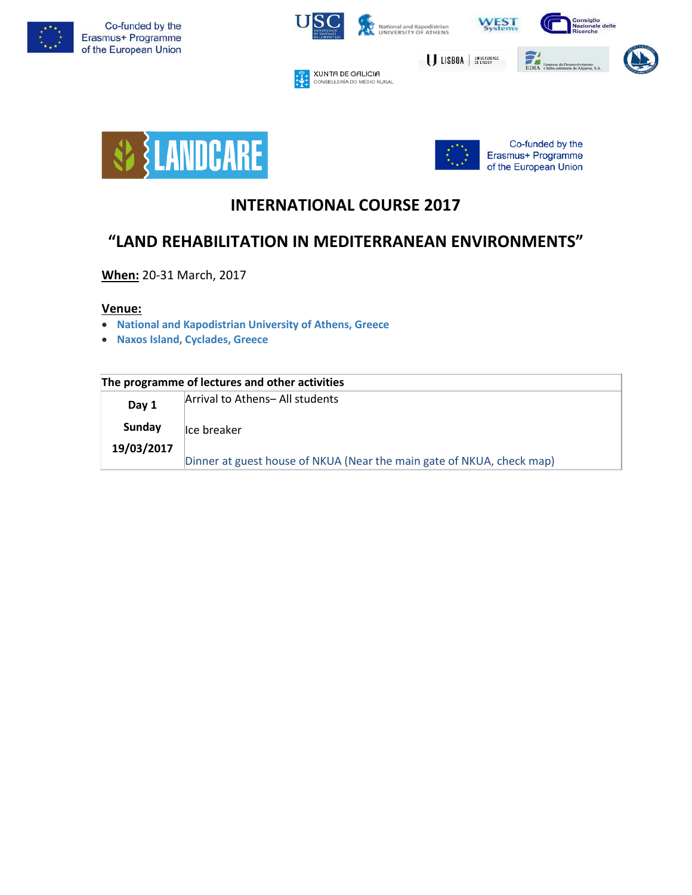



₩

**XUNTA DE GALICIA**<br>CONSELLERÍA DO MEDIO RURAL



EDIA<br>Empresa de Descavolv<br>EDIA e Infra-estruturas do Al

USBOA | UNIVERSIDADE







# **INTERNATIONAL COURSE 2017**

## **"LAND REHABILITATION IN MEDITERRANEAN ENVIRONMENTS"**

**When:** 20-31 March, 2017

## **Venue:**

- **National and [Kapodistrian](http://en.uoa.gr/) University of Athens, Greece**
- **Naxos Island, [Cyclades,](http://www.naxos.gr/en/) Greece**

| The programme of lectures and other activities |  |
|------------------------------------------------|--|
|------------------------------------------------|--|

| Day 1      | Arrival to Athens- All students                                       |
|------------|-----------------------------------------------------------------------|
| Sunday     | Ice breaker                                                           |
| 19/03/2017 | Dinner at guest house of NKUA (Near the main gate of NKUA, check map) |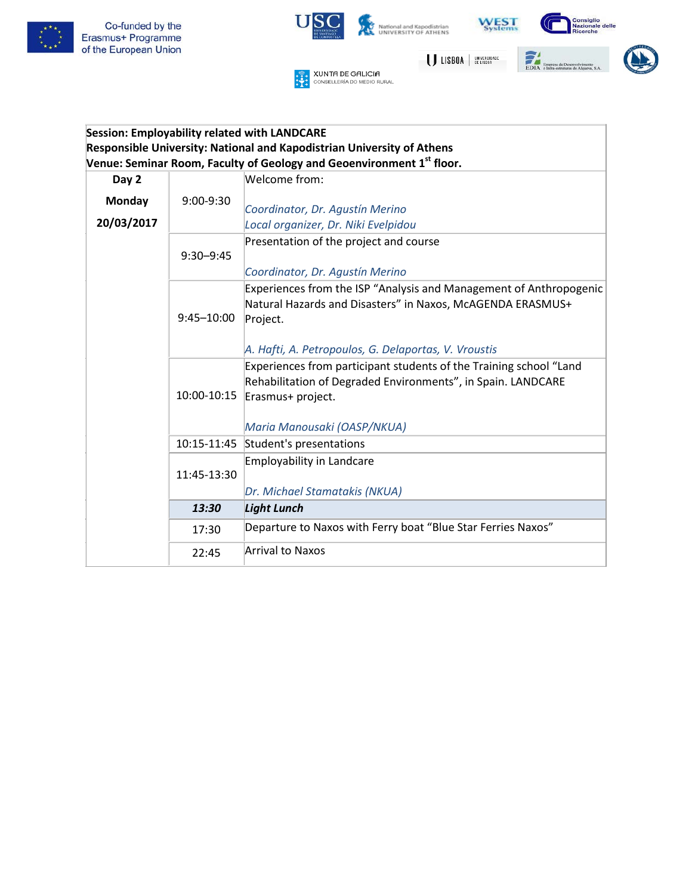



## **Session: Employability related with LANDCARE Responsible University: National and Kapodistrian University of Athens Venue: Seminar Room, Faculty of Geology and Geoenvironment 1st floor.**

| Day 2         |                | Welcome from:                                                                                                                                                                                        |
|---------------|----------------|------------------------------------------------------------------------------------------------------------------------------------------------------------------------------------------------------|
| <b>Monday</b> | 9:00-9:30      |                                                                                                                                                                                                      |
|               |                | Coordinator, Dr. Agustín Merino                                                                                                                                                                      |
| 20/03/2017    |                | Local organizer, Dr. Niki Evelpidou                                                                                                                                                                  |
|               | $9:30 - 9:45$  | Presentation of the project and course<br>Coordinator, Dr. Agustín Merino                                                                                                                            |
|               | $9:45 - 10:00$ | Experiences from the ISP "Analysis and Management of Anthropogenic<br>Natural Hazards and Disasters" in Naxos, McAGENDA ERASMUS+<br>Project.<br>A. Hafti, A. Petropoulos, G. Delaportas, V. Vroustis |
|               | 10:00-10:15    | Experiences from participant students of the Training school "Land<br>Rehabilitation of Degraded Environments", in Spain. LANDCARE<br>Erasmus+ project.<br>Maria Manousaki (OASP/NKUA)               |
|               | 10:15-11:45    | Student's presentations                                                                                                                                                                              |
|               | 11:45-13:30    | <b>Employability in Landcare</b><br>Dr. Michael Stamatakis (NKUA)                                                                                                                                    |
|               | 13:30          | <b>Light Lunch</b>                                                                                                                                                                                   |
|               | 17:30          | Departure to Naxos with Ferry boat "Blue Star Ferries Naxos"                                                                                                                                         |
|               | 22:45          | Arrival to Naxos                                                                                                                                                                                     |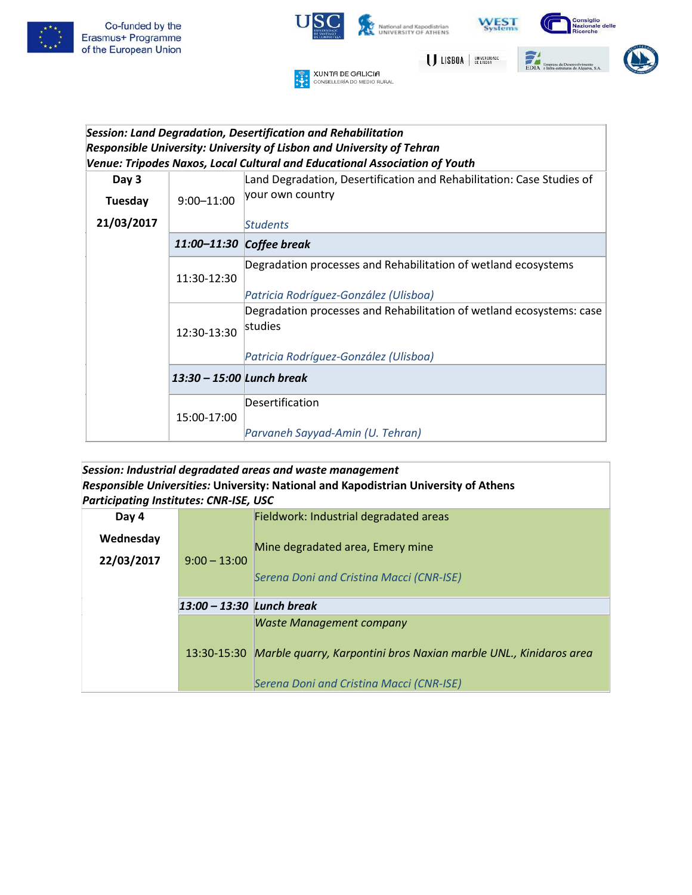



## *Session: Land Degradation, Desertification and Rehabilitation Responsible University: University of Lisbon and University of Tehran Venue: Tripodes Naxos, Local Cultural and Educational Association of Youth*

| Day 3      |                           | Land Degradation, Desertification and Rehabilitation: Case Studies of           |
|------------|---------------------------|---------------------------------------------------------------------------------|
| Tuesday    | $9:00 - 11:00$            | your own country                                                                |
| 21/03/2017 |                           | Students                                                                        |
|            | 11:00-11:30               | Coffee break                                                                    |
|            | 11:30-12:30               | Degradation processes and Rehabilitation of wetland ecosystems                  |
|            |                           | Patricia Rodríguez-González (Ulisboa)                                           |
|            | 12:30-13:30               | Degradation processes and Rehabilitation of wetland ecosystems: case<br>studies |
|            |                           | Patricia Rodríguez-González (Ulisboa)                                           |
|            | 13:30 – 15:00 Lunch break |                                                                                 |
|            | 15:00-17:00               | Desertification                                                                 |
|            |                           | Parvaneh Sayyad-Amin (U. Tehran)                                                |

#### *Session: Industrial degradated areas and waste management Responsible Universities:* **University: National and Kapodistrian University of Athens** *Participating Institutes: CNR-ISE, USC*

| Day 4      |                           | Fieldwork: Industrial degradated areas                                                                                                                       |
|------------|---------------------------|--------------------------------------------------------------------------------------------------------------------------------------------------------------|
| Wednesday  |                           | Mine degradated area, Emery mine                                                                                                                             |
| 22/03/2017 | $9:00 - 13:00$            |                                                                                                                                                              |
|            |                           | Serena Doni and Cristina Macci (CNR-ISE)                                                                                                                     |
|            | 13:00 - 13:30 Lunch break |                                                                                                                                                              |
|            |                           | <b>Waste Management company</b><br>13:30-15:30 Marble quarry, Karpontini bros Naxian marble UNL., Kinidaros area<br>Serena Doni and Cristina Macci (CNR-ISE) |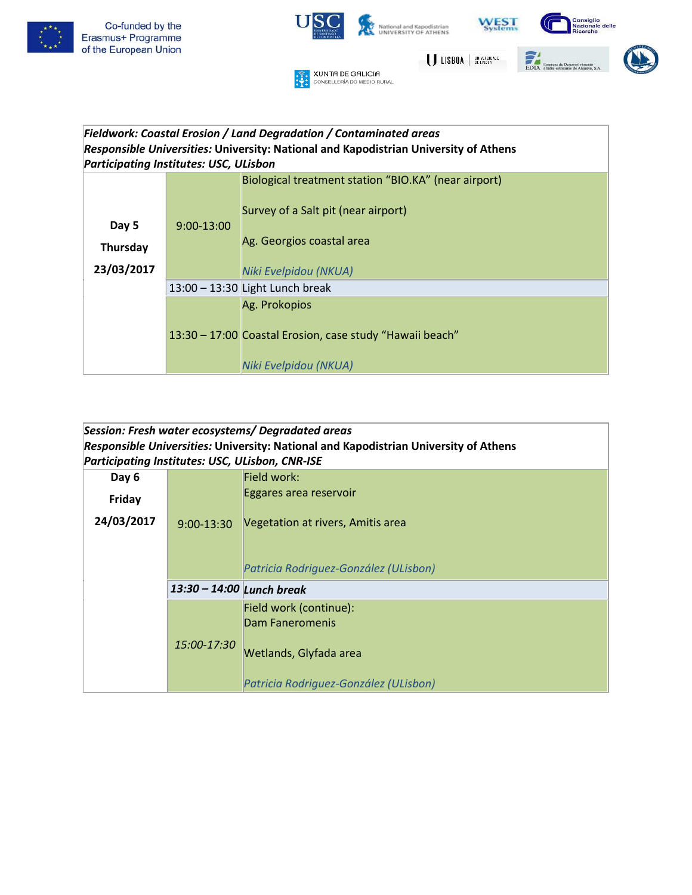



#### *Fieldwork: Coastal Erosion / Land Degradation / Contaminated areas Responsible Universities:* **University: National and Kapodistrian University of Athens** *Participating Institutes: USC, ULisbon*

|            |              | Biological treatment station "BIO.KA" (near airport)<br>Survey of a Salt pit (near airport)        |
|------------|--------------|----------------------------------------------------------------------------------------------------|
| Day 5      | $9:00-13:00$ |                                                                                                    |
| Thursday   |              | Ag. Georgios coastal area                                                                          |
| 23/03/2017 |              | Niki Evelpidou (NKUA)                                                                              |
|            |              | $13:00 - 13:30$ Light Lunch break                                                                  |
|            |              | Ag. Prokopios<br>13:30 - 17:00 Coastal Erosion, case study "Hawaii beach"<br>Niki Evelpidou (NKUA) |

## *Session: Fresh water ecosystems/ Degradated areas Responsible Universities:* **University: National and Kapodistrian University of Athens** *Participating Institutes: USC, ULisbon, CNR-ISE*

| Day 6      |                           | Field work:                           |
|------------|---------------------------|---------------------------------------|
| Friday     |                           | Eggares area reservoir                |
| 24/03/2017 | $9:00 - 13:30$            | Vegetation at rivers, Amitis area     |
|            |                           |                                       |
|            |                           | Patricia Rodriguez-González (ULisbon) |
|            | 13:30 - 14:00 Lunch break |                                       |
|            |                           | Field work (continue):                |
|            |                           | <b>Dam Faneromenis</b>                |
|            | 15:00-17:30               | Wetlands, Glyfada area                |
|            |                           | Patricia Rodriguez-González (ULisbon) |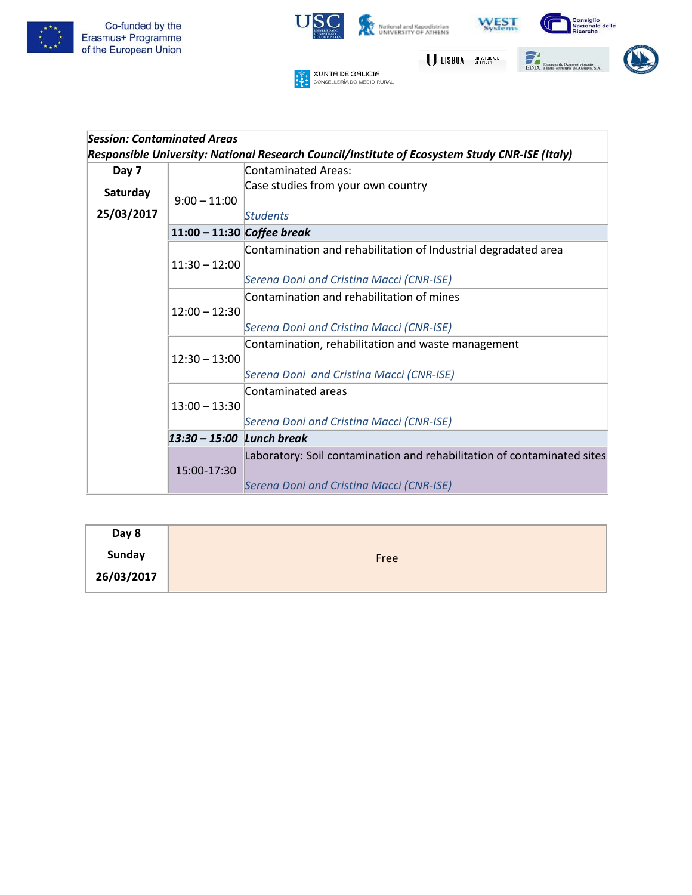



| Session: Contaminated Areas |                              |                                                                                                |
|-----------------------------|------------------------------|------------------------------------------------------------------------------------------------|
|                             |                              | Responsible University: National Research Council/Institute of Ecosystem Study CNR-ISE (Italy) |
| Day 7                       |                              | <b>Contaminated Areas:</b>                                                                     |
| Saturday                    |                              | Case studies from your own country                                                             |
|                             | $9:00 - 11:00$               |                                                                                                |
| 25/03/2017                  |                              | <b>Students</b>                                                                                |
|                             | $11:00 - 11:30$ Coffee break |                                                                                                |
|                             |                              | Contamination and rehabilitation of Industrial degradated area                                 |
|                             | $11:30 - 12:00$              |                                                                                                |
|                             |                              | Serena Doni and Cristina Macci (CNR-ISE)                                                       |
|                             |                              | Contamination and rehabilitation of mines                                                      |
|                             | $12:00 - 12:30$              |                                                                                                |
|                             |                              | Serena Doni and Cristina Macci (CNR-ISE)                                                       |
|                             |                              | Contamination, rehabilitation and waste management                                             |
|                             | $12:30 - 13:00$              |                                                                                                |
|                             |                              | Serena Doni and Cristina Macci (CNR-ISE)                                                       |
|                             |                              | Contaminated areas                                                                             |
|                             | $13:00 - 13:30$              |                                                                                                |
|                             |                              | Serena Doni and Cristina Macci (CNR-ISE)                                                       |
|                             | 13:30 - 15:00 Lunch break    |                                                                                                |
|                             |                              | Laboratory: Soil contamination and rehabilitation of contaminated sites                        |
|                             | 15:00-17:30                  |                                                                                                |
|                             |                              | Serena Doni and Cristina Macci (CNR-ISE)                                                       |

| Day 8         |      |
|---------------|------|
| <b>Sunday</b> | Free |
| 26/03/2017    |      |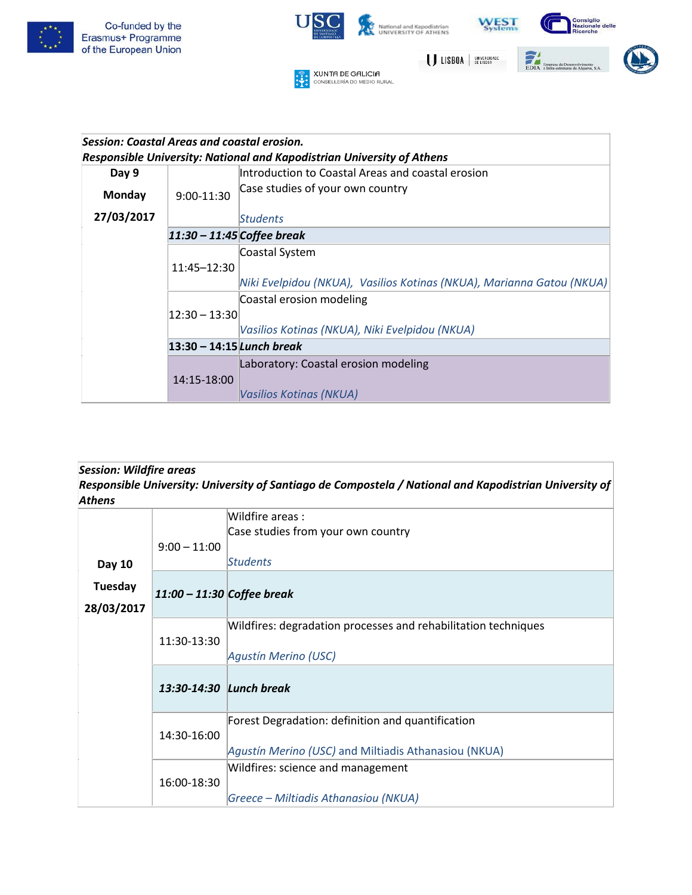



|            | Session: Coastal Areas and coastal erosion.                            |                                                                        |  |
|------------|------------------------------------------------------------------------|------------------------------------------------------------------------|--|
|            | Responsible University: National and Kapodistrian University of Athens |                                                                        |  |
| Day 9      |                                                                        | Introduction to Coastal Areas and coastal erosion                      |  |
| Monday     | 9:00-11:30                                                             | Case studies of your own country                                       |  |
| 27/03/2017 |                                                                        | Students                                                               |  |
|            |                                                                        | $11:30 - 11:45$ Coffee break                                           |  |
|            |                                                                        | Coastal System                                                         |  |
|            | 11:45-12:30                                                            |                                                                        |  |
|            |                                                                        | Niki Evelpidou (NKUA),  Vasilios Kotinas (NKUA), Marianna Gatou (NKUA) |  |
|            |                                                                        | Coastal erosion modeling                                               |  |
|            | $12:30 - 13:30$                                                        |                                                                        |  |
|            |                                                                        | Vasilios Kotinas (NKUA), Niki Evelpidou (NKUA)                         |  |
|            | 13:30 - 14:15 Lunch break                                              |                                                                        |  |
|            |                                                                        | Laboratory: Coastal erosion modeling                                   |  |
|            | 14:15-18:00                                                            |                                                                        |  |
|            |                                                                        | Vasilios Kotinas (NKUA)                                                |  |

## *Session: Wildfire areas Responsible University: University of Santiago de Compostela / National and Kapodistrian University of Athens*

|                       | $9:00 - 11:00$               | Wildfire areas:<br>Case studies from your own country                                                     |
|-----------------------|------------------------------|-----------------------------------------------------------------------------------------------------------|
| Day 10                |                              | <b>Students</b>                                                                                           |
| Tuesday<br>28/03/2017 | $11:00 - 11:30$ Coffee break |                                                                                                           |
|                       | 11:30-13:30                  | Wildfires: degradation processes and rehabilitation techniques<br>Agustín Merino (USC)                    |
|                       | 13:30-14:30 Lunch break      |                                                                                                           |
|                       | 14:30-16:00                  | Forest Degradation: definition and quantification<br>Agustín Merino (USC) and Miltiadis Athanasiou (NKUA) |
|                       | 16:00-18:30                  | Wildfires: science and management<br>Greece - Miltiadis Athanasiou (NKUA)                                 |